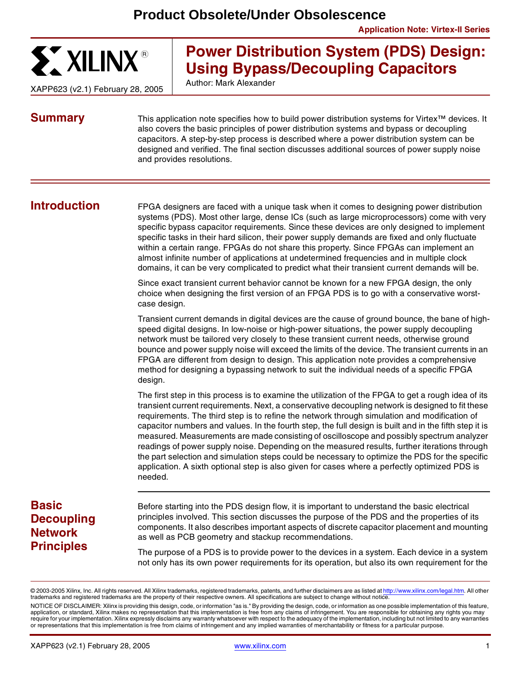

XAPP623 (v2.1) February 28, 2005

# **Power Distribution System (PDS) Design: Using Bypass/Decoupling Capacitors**

Author: Mark Alexander

**Summary** This application note specifies how to build power distribution systems for Virtex<sup>™</sup> devices. It also covers the basic principles of power distribution systems and bypass or decoupling capacitors. A step-by-step process is described where a power distribution system can be designed and verified. The final section discusses additional sources of power supply noise and provides resolutions.

**Introduction** FPGA designers are faced with a unique task when it comes to designing power distribution systems (PDS). Most other large, dense ICs (such as large microprocessors) come with very specific bypass capacitor requirements. Since these devices are only designed to implement specific tasks in their hard silicon, their power supply demands are fixed and only fluctuate within a certain range. FPGAs do not share this property. Since FPGAs can implement an almost infinite number of applications at undetermined frequencies and in multiple clock domains, it can be very complicated to predict what their transient current demands will be.

> Since exact transient current behavior cannot be known for a new FPGA design, the only choice when designing the first version of an FPGA PDS is to go with a conservative worstcase design.

Transient current demands in digital devices are the cause of ground bounce, the bane of highspeed digital designs. In low-noise or high-power situations, the power supply decoupling network must be tailored very closely to these transient current needs, otherwise ground bounce and power supply noise will exceed the limits of the device. The transient currents in an FPGA are different from design to design. This application note provides a comprehensive method for designing a bypassing network to suit the individual needs of a specific FPGA design.

The first step in this process is to examine the utilization of the FPGA to get a rough idea of its transient current requirements. Next, a conservative decoupling network is designed to fit these requirements. The third step is to refine the network through simulation and modification of capacitor numbers and values. In the fourth step, the full design is built and in the fifth step it is measured. Measurements are made consisting of oscilloscope and possibly spectrum analyzer readings of power supply noise. Depending on the measured results, further iterations through the part selection and simulation steps could be necessary to optimize the PDS for the specific application. A sixth optional step is also given for cases where a perfectly optimized PDS is needed.

# **Basic Decoupling Network Principles**

Before starting into the PDS design flow, it is important to understand the basic electrical principles involved. This section discusses the purpose of the PDS and the properties of its components. It also describes important aspects of discrete capacitor placement and mounting as well as PCB geometry and stackup recommendations.

The purpose of a PDS is to provide power to the devices in a system. Each device in a system not only has its own power requirements for its operation, but also its own requirement for the

<sup>©</sup>2003-2005 Xilinx, Inc. All rights reserved. All Xilinx trademarks, registered trademarks, patents, and further disclaimers are as listed at [http://www.xilinx.com/legal.htm.](http://www.xilinx.com/legal.htm) All other trademarks and registered trademarks are the property of their respective owners. All specifications are subject to change without notice.

NOTICE OF DISCLAIMER: Xilinx is providing this design, code, or information "as is." By providing the design, code, or information as one possible implementation of this feature, application, or standard, Xilinx makes no representation that this implementation is free from any claims of infringement. You are responsible for obtaining any rights you may require for your implementation. Xilinx expressly disclaims any warranty whatsoever with respect to the adequacy of the implementation, including but not limited to any warranties or representations that this implementation is free from claims of infringement and any implied warranties of merchantability or fitness for a particular purpose.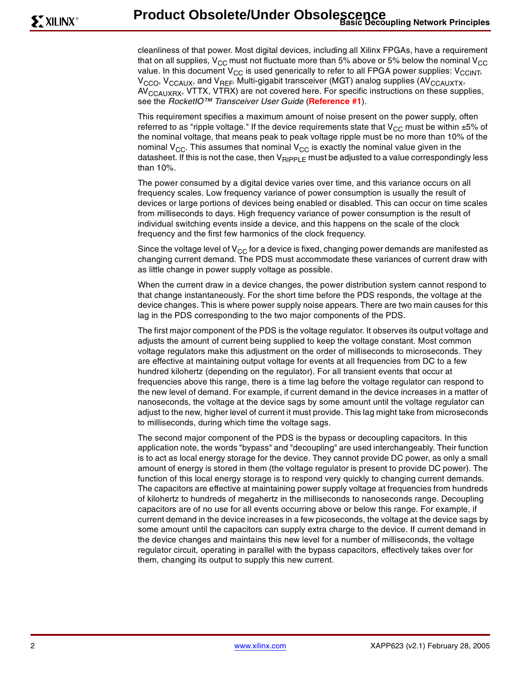cleanliness of that power. Most digital devices, including all Xilinx FPGAs, have a requirement that on all supplies,  $V_{CC}$  must not fluctuate more than 5% above or 5% below the nominal  $V_{CC}$ value. In this document  $V_{CC}$  is used generically to refer to all FPGA power supplies:  $V_{CCINT}$  $V_{\text{CCO}}$ ,  $V_{\text{CCAUX}}$ , and  $V_{\text{REF}}$ . Multi-gigabit transceiver (MGT) analog supplies (AV<sub>CCAUXTX</sub>, AV<sub>CCAUXRX</sub>, VTTX, VTRX) are not covered here. For specific instructions on these supplies, see the RocketIO™ Transceiver User Guide (**[Reference #1](#page-22-0)**).

This requirement specifies a maximum amount of noise present on the power supply, often referred to as "ripple voltage." If the device requirements state that  $V_{CC}$  must be within  $\pm 5\%$  of the nominal voltage, that means peak to peak voltage ripple must be no more than 10% of the nominal  $V_{CC}$ . This assumes that nominal  $V_{CC}$  is exactly the nominal value given in the datasheet. If this is not the case, then  $V_{\text{RIPPI F}}$  must be adjusted to a value correspondingly less than 10%.

The power consumed by a digital device varies over time, and this variance occurs on all frequency scales. Low frequency variance of power consumption is usually the result of devices or large portions of devices being enabled or disabled. This can occur on time scales from milliseconds to days. High frequency variance of power consumption is the result of individual switching events inside a device, and this happens on the scale of the clock frequency and the first few harmonics of the clock frequency.

Since the voltage level of  $V_{CC}$  for a device is fixed, changing power demands are manifested as changing current demand. The PDS must accommodate these variances of current draw with as little change in power supply voltage as possible.

When the current draw in a device changes, the power distribution system cannot respond to that change instantaneously. For the short time before the PDS responds, the voltage at the device changes. This is where power supply noise appears. There are two main causes for this lag in the PDS corresponding to the two major components of the PDS.

The first major component of the PDS is the voltage regulator. It observes its output voltage and adjusts the amount of current being supplied to keep the voltage constant. Most common voltage regulators make this adjustment on the order of milliseconds to microseconds. They are effective at maintaining output voltage for events at all frequencies from DC to a few hundred kilohertz (depending on the regulator). For all transient events that occur at frequencies above this range, there is a time lag before the voltage regulator can respond to the new level of demand. For example, if current demand in the device increases in a matter of nanoseconds, the voltage at the device sags by some amount until the voltage regulator can adjust to the new, higher level of current it must provide. This lag might take from microseconds to milliseconds, during which time the voltage sags.

The second major component of the PDS is the bypass or decoupling capacitors. In this application note, the words "bypass" and "decoupling" are used interchangeably. Their function is to act as local energy storage for the device. They cannot provide DC power, as only a small amount of energy is stored in them (the voltage regulator is present to provide DC power). The function of this local energy storage is to respond very quickly to changing current demands. The capacitors are effective at maintaining power supply voltage at frequencies from hundreds of kilohertz to hundreds of megahertz in the milliseconds to nanoseconds range. Decoupling capacitors are of no use for all events occurring above or below this range. For example, if current demand in the device increases in a few picoseconds, the voltage at the device sags by some amount until the capacitors can supply extra charge to the device. If current demand in the device changes and maintains this new level for a number of milliseconds, the voltage regulator circuit, operating in parallel with the bypass capacitors, effectively takes over for them, changing its output to supply this new current.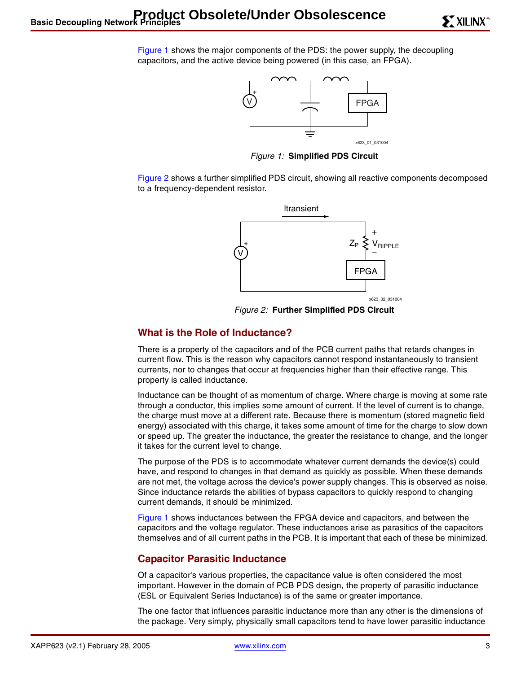[Figure 1](#page-2-0) shows the major components of the PDS: the power supply, the decoupling capacitors, and the active device being powered (in this case, an FPGA).



Figure 1: **Simplified PDS Circuit**

<span id="page-2-0"></span>[Figure 2](#page-2-1) shows a further simplified PDS circuit, showing all reactive components decomposed to a frequency-dependent resistor.



Figure 2: **Further Simplified PDS Circuit**

### <span id="page-2-1"></span>**What is the Role of Inductance?**

There is a property of the capacitors and of the PCB current paths that retards changes in current flow. This is the reason why capacitors cannot respond instantaneously to transient currents, nor to changes that occur at frequencies higher than their effective range. This property is called inductance.

Inductance can be thought of as momentum of charge. Where charge is moving at some rate through a conductor, this implies some amount of current. If the level of current is to change, the charge must move at a different rate. Because there is momentum (stored magnetic field energy) associated with this charge, it takes some amount of time for the charge to slow down or speed up. The greater the inductance, the greater the resistance to change, and the longer it takes for the current level to change.

The purpose of the PDS is to accommodate whatever current demands the device(s) could have, and respond to changes in that demand as quickly as possible. When these demands are not met, the voltage across the device's power supply changes. This is observed as noise. Since inductance retards the abilities of bypass capacitors to quickly respond to changing current demands, it should be minimized.

[Figure 1](#page-2-0) shows inductances between the FPGA device and capacitors, and between the capacitors and the voltage regulator. These inductances arise as parasitics of the capacitors themselves and of all current paths in the PCB. It is important that each of these be minimized.

### **Capacitor Parasitic Inductance**

Of a capacitor's various properties, the capacitance value is often considered the most important. However in the domain of PCB PDS design, the property of parasitic inductance (ESL or Equivalent Series Inductance) is of the same or greater importance.

The one factor that influences parasitic inductance more than any other is the dimensions of the package. Very simply, physically small capacitors tend to have lower parasitic inductance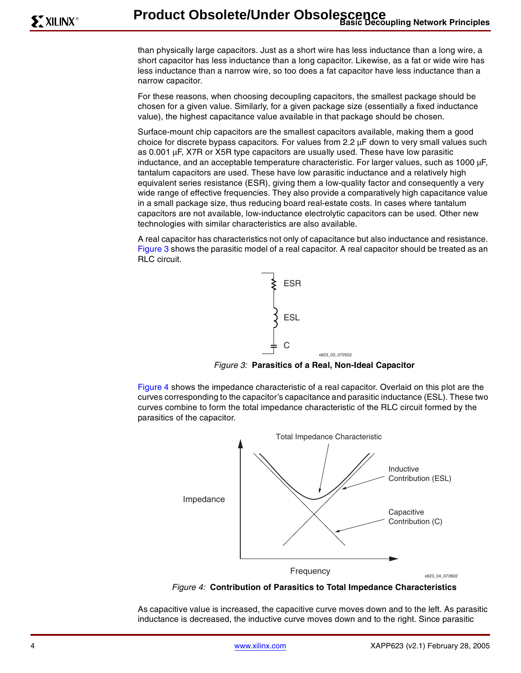than physically large capacitors. Just as a short wire has less inductance than a long wire, a short capacitor has less inductance than a long capacitor. Likewise, as a fat or wide wire has less inductance than a narrow wire, so too does a fat capacitor have less inductance than a narrow capacitor.

For these reasons, when choosing decoupling capacitors, the smallest package should be chosen for a given value. Similarly, for a given package size (essentially a fixed inductance value), the highest capacitance value available in that package should be chosen.

Surface-mount chip capacitors are the smallest capacitors available, making them a good choice for discrete bypass capacitors. For values from 2.2 µF down to very small values such as 0.001 µF, X7R or X5R type capacitors are usually used. These have low parasitic inductance, and an acceptable temperature characteristic. For larger values, such as 1000 µF, tantalum capacitors are used. These have low parasitic inductance and a relatively high equivalent series resistance (ESR), giving them a low-quality factor and consequently a very wide range of effective frequencies. They also provide a comparatively high capacitance value in a small package size, thus reducing board real-estate costs. In cases where tantalum capacitors are not available, low-inductance electrolytic capacitors can be used. Other new technologies with similar characteristics are also available.

A real capacitor has characteristics not only of capacitance but also inductance and resistance. [Figure 3](#page-3-0) shows the parasitic model of a real capacitor. A real capacitor should be treated as an RLC circuit.



Figure 3: **Parasitics of a Real, Non-Ideal Capacitor**

<span id="page-3-0"></span>[Figure 4](#page-3-1) shows the impedance characteristic of a real capacitor. Overlaid on this plot are the curves corresponding to the capacitor's capacitance and parasitic inductance (ESL). These two curves combine to form the total impedance characteristic of the RLC circuit formed by the parasitics of the capacitor.



Figure 4: **Contribution of Parasitics to Total Impedance Characteristics**

<span id="page-3-1"></span>As capacitive value is increased, the capacitive curve moves down and to the left. As parasitic inductance is decreased, the inductive curve moves down and to the right. Since parasitic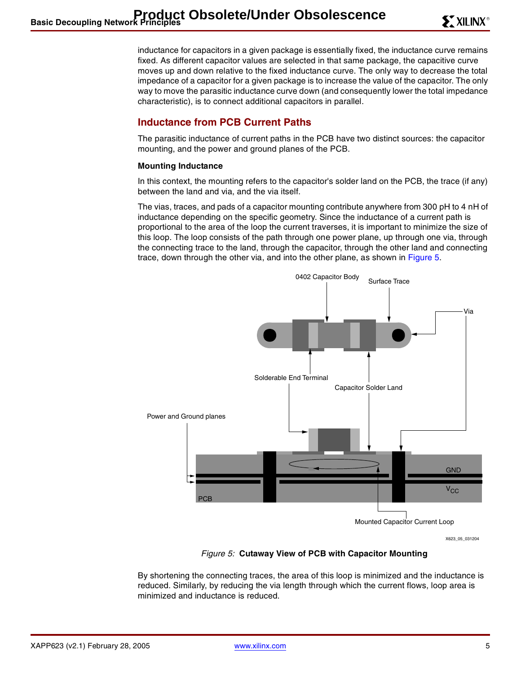inductance for capacitors in a given package is essentially fixed, the inductance curve remains fixed. As different capacitor values are selected in that same package, the capacitive curve moves up and down relative to the fixed inductance curve. The only way to decrease the total impedance of a capacitor for a given package is to increase the value of the capacitor. The only way to move the parasitic inductance curve down (and consequently lower the total impedance characteristic), is to connect additional capacitors in parallel.

# **Inductance from PCB Current Paths**

The parasitic inductance of current paths in the PCB have two distinct sources: the capacitor mounting, and the power and ground planes of the PCB.

#### <span id="page-4-1"></span>**Mounting Inductance**

In this context, the mounting refers to the capacitor's solder land on the PCB, the trace (if any) between the land and via, and the via itself.

The vias, traces, and pads of a capacitor mounting contribute anywhere from 300 pH to 4 nH of inductance depending on the specific geometry. Since the inductance of a current path is proportional to the area of the loop the current traverses, it is important to minimize the size of this loop. The loop consists of the path through one power plane, up through one via, through the connecting trace to the land, through the capacitor, through the other land and connecting trace, down through the other via, and into the other plane, as shown in [Figure 5](#page-4-0).



X623\_05\_031204

### Figure 5: **Cutaway View of PCB with Capacitor Mounting**

<span id="page-4-0"></span>By shortening the connecting traces, the area of this loop is minimized and the inductance is reduced. Similarly, by reducing the via length through which the current flows, loop area is minimized and inductance is reduced.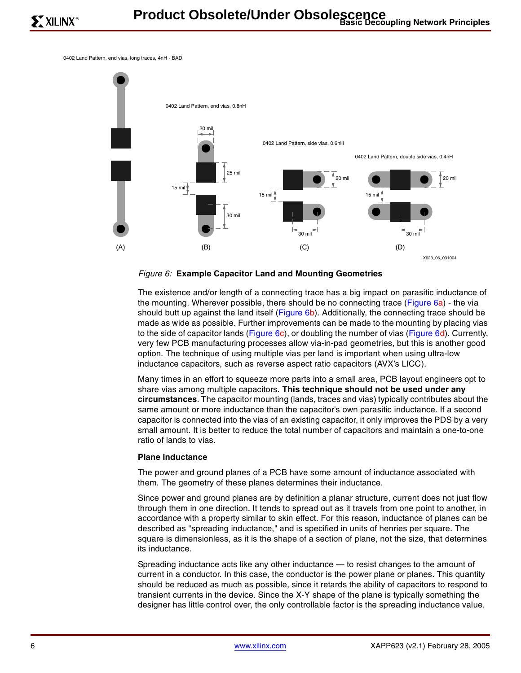0402 Land Pattern, end vias, long traces, 4nH - BAD



#### <span id="page-5-0"></span>Figure 6: **Example Capacitor Land and Mounting Geometries**

The existence and/or length of a connecting trace has a big impact on parasitic inductance of the mounting. Wherever possible, there should be no connecting trace ([Figure 6](#page-5-0)a) - the via should butt up against the land itself [\(Figure 6](#page-5-0)b). Additionally, the connecting trace should be made as wide as possible. Further improvements can be made to the mounting by placing vias to the side of capacitor lands ([Figure 6](#page-5-0)c), or doubling the number of vias [\(Figure 6](#page-5-0)d). Currently, very few PCB manufacturing processes allow via-in-pad geometries, but this is another good option. The technique of using multiple vias per land is important when using ultra-low inductance capacitors, such as reverse aspect ratio capacitors (AVX's LICC).

Many times in an effort to squeeze more parts into a small area, PCB layout engineers opt to share vias among multiple capacitors. **This technique should not be used under any circumstances**. The capacitor mounting (lands, traces and vias) typically contributes about the same amount or more inductance than the capacitor's own parasitic inductance. If a second capacitor is connected into the vias of an existing capacitor, it only improves the PDS by a very small amount. It is better to reduce the total number of capacitors and maintain a one-to-one ratio of lands to vias.

#### <span id="page-5-1"></span>**Plane Inductance**

The power and ground planes of a PCB have some amount of inductance associated with them. The geometry of these planes determines their inductance.

Since power and ground planes are by definition a planar structure, current does not just flow through them in one direction. It tends to spread out as it travels from one point to another, in accordance with a property similar to skin effect. For this reason, inductance of planes can be described as "spreading inductance," and is specified in units of henries per square. The square is dimensionless, as it is the shape of a section of plane, not the size, that determines its inductance.

Spreading inductance acts like any other inductance — to resist changes to the amount of current in a conductor. In this case, the conductor is the power plane or planes. This quantity should be reduced as much as possible, since it retards the ability of capacitors to respond to transient currents in the device. Since the X-Y shape of the plane is typically something the designer has little control over, the only controllable factor is the spreading inductance value.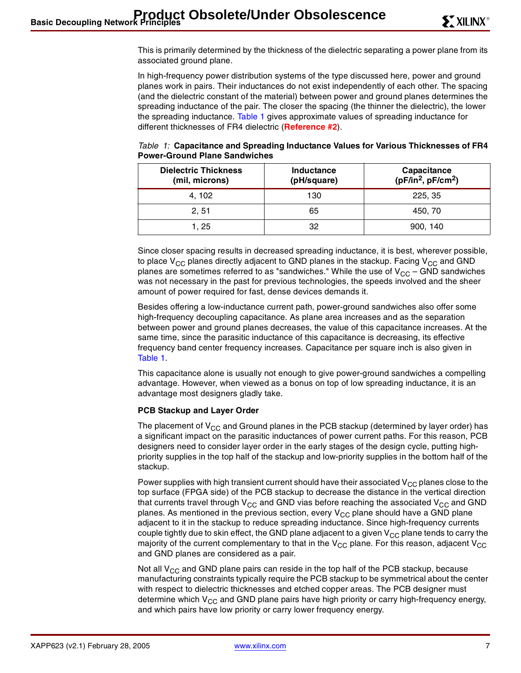This is primarily determined by the thickness of the dielectric separating a power plane from its associated ground plane.

In high-frequency power distribution systems of the type discussed here, power and ground planes work in pairs. Their inductances do not exist independently of each other. The spacing (and the dielectric constant of the material) between power and ground planes determines the spreading inductance of the pair. The closer the spacing (the thinner the dielectric), the lower the spreading inductance. [Table 1](#page-6-0) gives approximate values of spreading inductance for different thicknesses of FR4 dielectric (**[Reference #2](#page-22-1)**).

<span id="page-6-0"></span>

| Table 1: Capacitance and Spreading Inductance Values for Various Thicknesses of FR4 |  |
|-------------------------------------------------------------------------------------|--|
| <b>Power-Ground Plane Sandwiches</b>                                                |  |

| <b>Dielectric Thickness</b><br>(mil, microns) | Inductance<br>(pH/square) | Capacitance<br>$(pF/in2, pF/cm2)$ |
|-----------------------------------------------|---------------------------|-----------------------------------|
| 4, 102                                        | 130                       | 225, 35                           |
| 2.51                                          | 65                        | 450, 70                           |
| 1, 25                                         | 32                        | 900, 140                          |

Since closer spacing results in decreased spreading inductance, it is best, wherever possible, to place  $V_{CC}$  planes directly adjacent to GND planes in the stackup. Facing  $V_{CC}$  and GND planes are sometimes referred to as "sandwiches." While the use of  $V_{CC}$  – GND sandwiches was not necessary in the past for previous technologies, the speeds involved and the sheer amount of power required for fast, dense devices demands it.

Besides offering a low-inductance current path, power-ground sandwiches also offer some high-frequency decoupling capacitance. As plane area increases and as the separation between power and ground planes decreases, the value of this capacitance increases. At the same time, since the parasitic inductance of this capacitance is decreasing, its effective frequency band center frequency increases. Capacitance per square inch is also given in [Table 1](#page-6-0).

This capacitance alone is usually not enough to give power-ground sandwiches a compelling advantage. However, when viewed as a bonus on top of low spreading inductance, it is an advantage most designers gladly take.

#### <span id="page-6-1"></span>**PCB Stackup and Layer Order**

The placement of  $V_{CC}$  and Ground planes in the PCB stackup (determined by layer order) has a significant impact on the parasitic inductances of power current paths. For this reason, PCB designers need to consider layer order in the early stages of the design cycle, putting highpriority supplies in the top half of the stackup and low-priority supplies in the bottom half of the stackup.

Power supplies with high transient current should have their associated  $V_{CC}$  planes close to the top surface (FPGA side) of the PCB stackup to decrease the distance in the vertical direction that currents travel through  $V_{CC}$  and GND vias before reaching the associated  $V_{CC}$  and GND planes. As mentioned in the previous section, every  $V_{CC}$  plane should have a GND plane adjacent to it in the stackup to reduce spreading inductance. Since high-frequency currents couple tightly due to skin effect, the GND plane adjacent to a given  $V_{CC}$  plane tends to carry the majority of the current complementary to that in the  $V_{CC}$  plane. For this reason, adjacent  $V_{CC}$ and GND planes are considered as a pair.

Not all  $V_{CC}$  and GND plane pairs can reside in the top half of the PCB stackup, because manufacturing constraints typically require the PCB stackup to be symmetrical about the center with respect to dielectric thicknesses and etched copper areas. The PCB designer must determine which  $V_{CC}$  and GND plane pairs have high priority or carry high-frequency energy, and which pairs have low priority or carry lower frequency energy.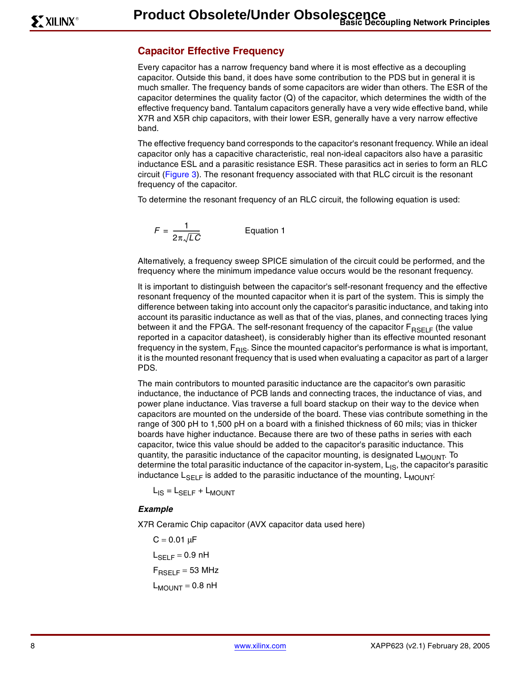### <span id="page-7-0"></span>**Capacitor Effective Frequency**

Every capacitor has a narrow frequency band where it is most effective as a decoupling capacitor. Outside this band, it does have some contribution to the PDS but in general it is much smaller. The frequency bands of some capacitors are wider than others. The ESR of the capacitor determines the quality factor (Q) of the capacitor, which determines the width of the effective frequency band. Tantalum capacitors generally have a very wide effective band, while X7R and X5R chip capacitors, with their lower ESR, generally have a very narrow effective band.

The effective frequency band corresponds to the capacitor's resonant frequency. While an ideal capacitor only has a capacitive characteristic, real non-ideal capacitors also have a parasitic inductance ESL and a parasitic resistance ESR. These parasitics act in series to form an RLC circuit [\(Figure 3\)](#page-3-0). The resonant frequency associated with that RLC circuit is the resonant frequency of the capacitor.

To determine the resonant frequency of an RLC circuit, the following equation is used:

$$
F = \frac{1}{2\pi\sqrt{LC}}
$$
 Equation 1

Alternatively, a frequency sweep SPICE simulation of the circuit could be performed, and the frequency where the minimum impedance value occurs would be the resonant frequency.

It is important to distinguish between the capacitor's self-resonant frequency and the effective resonant frequency of the mounted capacitor when it is part of the system. This is simply the difference between taking into account only the capacitor's parasitic inductance, and taking into account its parasitic inductance as well as that of the vias, planes, and connecting traces lying between it and the FPGA. The self-resonant frequency of the capacitor  $F_{RSELF}$  (the value reported in a capacitor datasheet), is considerably higher than its effective mounted resonant frequency in the system,  $F_{RIS}$ . Since the mounted capacitor's performance is what is important, it is the mounted resonant frequency that is used when evaluating a capacitor as part of a larger PDS.

The main contributors to mounted parasitic inductance are the capacitor's own parasitic inductance, the inductance of PCB lands and connecting traces, the inductance of vias, and power plane inductance. Vias traverse a full board stackup on their way to the device when capacitors are mounted on the underside of the board. These vias contribute something in the range of 300 pH to 1,500 pH on a board with a finished thickness of 60 mils; vias in thicker boards have higher inductance. Because there are two of these paths in series with each capacitor, twice this value should be added to the capacitor's parasitic inductance. This quantity, the parasitic inductance of the capacitor mounting, is designated L<sub>MOUNT</sub>. To determine the total parasitic inductance of the capacitor in-system,  $L_{IS}$ , the capacitor's parasitic inductance  $L_{\text{SELF}}$  is added to the parasitic inductance of the mounting,  $L_{\text{MOUNT}}$ :

 $L_{IS} = L_{SELF} + L_{MOUNT}$ 

#### **Example**

X7R Ceramic Chip capacitor (AVX capacitor data used here)

 $C = 0.01 \mu F$  $L_{\rm SFI F}$  = 0.9 nH  $F_{RSFIF}$  = 53 MHz  $L_{MOLINT} = 0.8 \text{ nH}$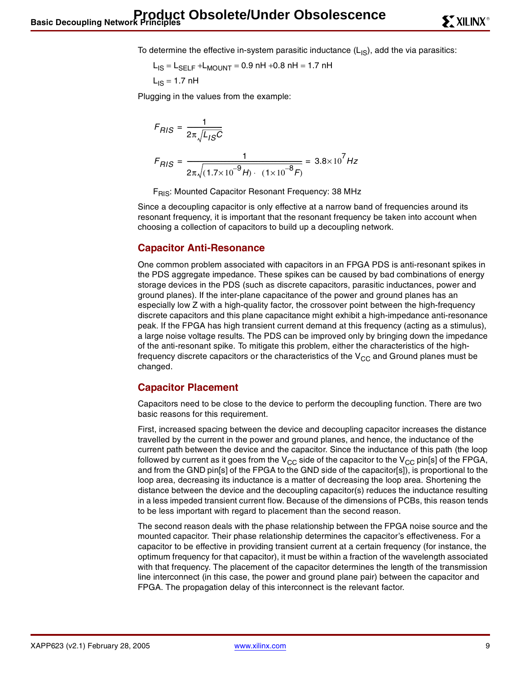To determine the effective in-system parasitic inductance  $(L_{\text{IS}})$ , add the via parasitics:

 $L_{IS} = L_{SFI} + L_{MOLINT} = 0.9$  nH +0.8 nH = 1.7 nH  $L_{IS} = 1.7$  nH

Plugging in the values from the example:

$$
F_{RIS} = \frac{1}{2\pi \sqrt{L_{IS}C}}
$$
  

$$
F_{RIS} = \frac{1}{2\pi \sqrt{(1.7 \times 10^{-9} H) \cdot (1 \times 10^{-8} F)}} = 3.8 \times 10^{7} Hz
$$

F<sub>RIS</sub>: Mounted Capacitor Resonant Frequency: 38 MHz

Since a decoupling capacitor is only effective at a narrow band of frequencies around its resonant frequency, it is important that the resonant frequency be taken into account when choosing a collection of capacitors to build up a decoupling network.

### <span id="page-8-0"></span>**Capacitor Anti-Resonance**

One common problem associated with capacitors in an FPGA PDS is anti-resonant spikes in the PDS aggregate impedance. These spikes can be caused by bad combinations of energy storage devices in the PDS (such as discrete capacitors, parasitic inductances, power and ground planes). If the inter-plane capacitance of the power and ground planes has an especially low Z with a high-quality factor, the crossover point between the high-frequency discrete capacitors and this plane capacitance might exhibit a high-impedance anti-resonance peak. If the FPGA has high transient current demand at this frequency (acting as a stimulus), a large noise voltage results. The PDS can be improved only by bringing down the impedance of the anti-resonant spike. To mitigate this problem, either the characteristics of the highfrequency discrete capacitors or the characteristics of the  $V_{CC}$  and Ground planes must be changed.

#### **Capacitor Placement**

Capacitors need to be close to the device to perform the decoupling function. There are two basic reasons for this requirement.

First, increased spacing between the device and decoupling capacitor increases the distance travelled by the current in the power and ground planes, and hence, the inductance of the current path between the device and the capacitor. Since the inductance of this path (the loop followed by current as it goes from the  $V_{CC}$  side of the capacitor to the  $V_{CC}$  pin[s] of the FPGA, and from the GND pin[s] of the FPGA to the GND side of the capacitor[s]), is proportional to the loop area, decreasing its inductance is a matter of decreasing the loop area. Shortening the distance between the device and the decoupling capacitor(s) reduces the inductance resulting in a less impeded transient current flow. Because of the dimensions of PCBs, this reason tends to be less important with regard to placement than the second reason.

The second reason deals with the phase relationship between the FPGA noise source and the mounted capacitor. Their phase relationship determines the capacitor's effectiveness. For a capacitor to be effective in providing transient current at a certain frequency (for instance, the optimum frequency for that capacitor), it must be within a fraction of the wavelength associated with that frequency. The placement of the capacitor determines the length of the transmission line interconnect (in this case, the power and ground plane pair) between the capacitor and FPGA. The propagation delay of this interconnect is the relevant factor.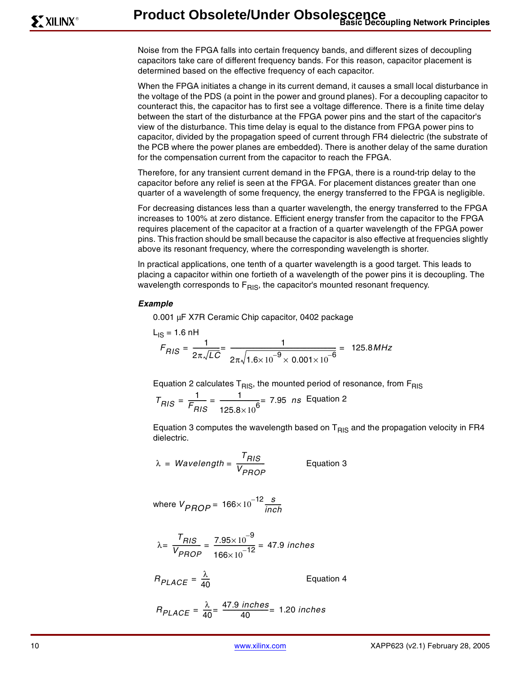Noise from the FPGA falls into certain frequency bands, and different sizes of decoupling capacitors take care of different frequency bands. For this reason, capacitor placement is determined based on the effective frequency of each capacitor.

When the FPGA initiates a change in its current demand, it causes a small local disturbance in the voltage of the PDS (a point in the power and ground planes). For a decoupling capacitor to counteract this, the capacitor has to first see a voltage difference. There is a finite time delay between the start of the disturbance at the FPGA power pins and the start of the capacitor's view of the disturbance. This time delay is equal to the distance from FPGA power pins to capacitor, divided by the propagation speed of current through FR4 dielectric (the substrate of the PCB where the power planes are embedded). There is another delay of the same duration for the compensation current from the capacitor to reach the FPGA.

Therefore, for any transient current demand in the FPGA, there is a round-trip delay to the capacitor before any relief is seen at the FPGA. For placement distances greater than one quarter of a wavelength of some frequency, the energy transferred to the FPGA is negligible.

For decreasing distances less than a quarter wavelength, the energy transferred to the FPGA increases to 100% at zero distance. Efficient energy transfer from the capacitor to the FPGA requires placement of the capacitor at a fraction of a quarter wavelength of the FPGA power pins. This fraction should be small because the capacitor is also effective at frequencies slightly above its resonant frequency, where the corresponding wavelength is shorter.

In practical applications, one tenth of a quarter wavelength is a good target. This leads to placing a capacitor within one fortieth of a wavelength of the power pins it is decoupling. The wavelength corresponds to  $F_{RIS}$ , the capacitor's mounted resonant frequency.

#### **Example**

0.001 µF X7R Ceramic Chip capacitor, 0402 package

$$
L_{IS} = 1.6 \text{ nH}
$$
  

$$
F_{RIS} = \frac{1}{2\pi\sqrt{LC}} = \frac{1}{2\pi\sqrt{1.6 \times 10^{-9} \times 0.001 \times 10^{-6}}} = 125.8 MHz
$$

Equation 2 calculates  $T<sub>RIS</sub>$ , the mounted period of resonance, from  $F<sub>RIS</sub>$ 

$$
T_{RIS} = \frac{1}{F_{RIS}} = \frac{1}{125.8 \times 10^6} = 7.95 \text{ ns} \text{ Equation 2}
$$

Equation 3 computes the wavelength based on  $T_{\text{RIS}}$  and the propagation velocity in FR4 dielectric.

$$
\lambda = \text{Wavelength} = \frac{T_{RIS}}{V_{PROP}} \qquad \text{Equation 3}
$$

where 
$$
V_{PROP} = 166 \times 10^{-12} \frac{s}{inch}
$$

$$
\lambda = \frac{T_{RIS}}{V_{PROP}} = \frac{7.95 \times 10^{-9}}{166 \times 10^{-12}} = 47.9 \text{ inches}
$$

$$
R_{PLACE} = \frac{\lambda}{40}
$$

Equation 4

$$
R_{PLACE} = \frac{\lambda}{40} = \frac{47.9 \text{ inches}}{40} = 1.20 \text{ inches}
$$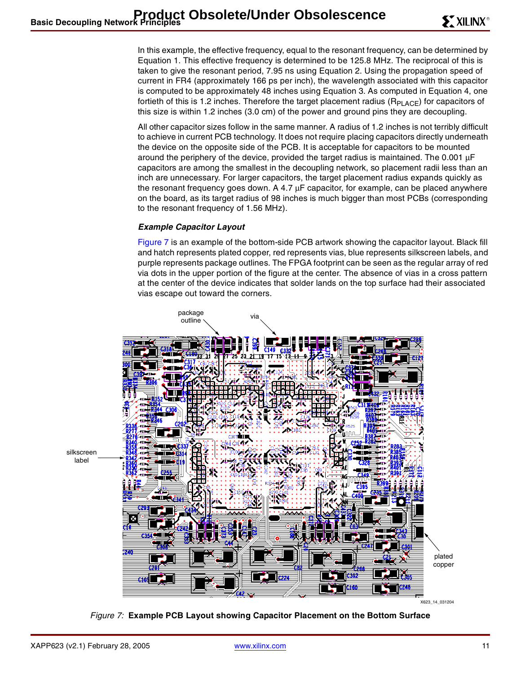In this example, the effective frequency, equal to the resonant frequency, can be determined by Equation 1. This effective frequency is determined to be 125.8 MHz. The reciprocal of this is taken to give the resonant period, 7.95 ns using Equation 2. Using the propagation speed of current in FR4 (approximately 166 ps per inch), the wavelength associated with this capacitor is computed to be approximately 48 inches using Equation 3. As computed in Equation 4, one fortieth of this is 1.2 inches. Therefore the target placement radius ( $R_{PLACE}$ ) for capacitors of this size is within 1.2 inches (3.0 cm) of the power and ground pins they are decoupling.

All other capacitor sizes follow in the same manner. A radius of 1.2 inches is not terribly difficult to achieve in current PCB technology. It does not require placing capacitors directly underneath the device on the opposite side of the PCB. It is acceptable for capacitors to be mounted around the periphery of the device, provided the target radius is maintained. The 0.001 µF capacitors are among the smallest in the decoupling network, so placement radii less than an inch are unnecessary. For larger capacitors, the target placement radius expands quickly as the resonant frequency goes down. A 4.7 µF capacitor, for example, can be placed anywhere on the board, as its target radius of 98 inches is much bigger than most PCBs (corresponding to the resonant frequency of 1.56 MHz).

#### <span id="page-10-1"></span>**Example Capacitor Layout**

[Figure 7](#page-10-0) is an example of the bottom-side PCB artwork showing the capacitor layout. Black fill and hatch represents plated copper, red represents vias, blue represents silkscreen labels, and purple represents package outlines. The FPGA footprint can be seen as the regular array of red via dots in the upper portion of the figure at the center. The absence of vias in a cross pattern at the center of the device indicates that solder lands on the top surface had their associated vias escape out toward the corners.



<span id="page-10-0"></span>Figure 7: **Example PCB Layout showing Capacitor Placement on the Bottom Surface**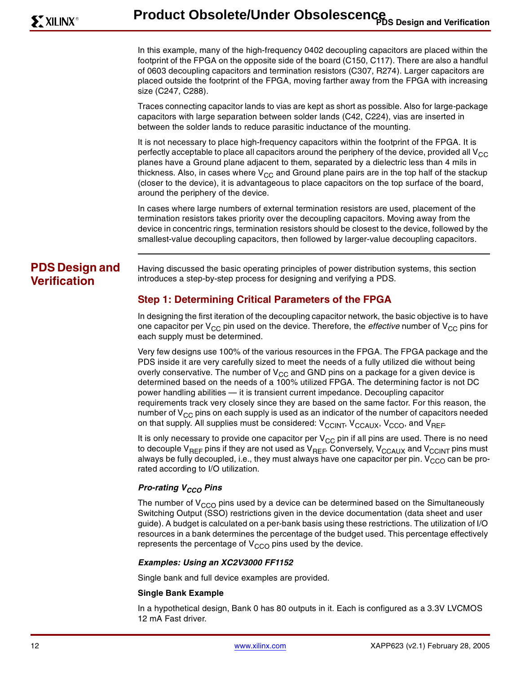In this example, many of the high-frequency 0402 decoupling capacitors are placed within the footprint of the FPGA on the opposite side of the board (C150, C117). There are also a handful of 0603 decoupling capacitors and termination resistors (C307, R274). Larger capacitors are placed outside the footprint of the FPGA, moving farther away from the FPGA with increasing size (C247, C288).

Traces connecting capacitor lands to vias are kept as short as possible. Also for large-package capacitors with large separation between solder lands (C42, C224), vias are inserted in between the solder lands to reduce parasitic inductance of the mounting.

It is not necessary to place high-frequency capacitors within the footprint of the FPGA. It is perfectly acceptable to place all capacitors around the periphery of the device, provided all  $V_{CC}$ planes have a Ground plane adjacent to them, separated by a dielectric less than 4 mils in thickness. Also, in cases where  $V_{CC}$  and Ground plane pairs are in the top half of the stackup (closer to the device), it is advantageous to place capacitors on the top surface of the board, around the periphery of the device.

In cases where large numbers of external termination resistors are used, placement of the termination resistors takes priority over the decoupling capacitors. Moving away from the device in concentric rings, termination resistors should be closest to the device, followed by the smallest-value decoupling capacitors, then followed by larger-value decoupling capacitors.

# **PDS Design and Verification**

Having discussed the basic operating principles of power distribution systems, this section introduces a step-by-step process for designing and verifying a PDS.

# **Step 1: Determining Critical Parameters of the FPGA**

In designing the first iteration of the decoupling capacitor network, the basic objective is to have one capacitor per  $V_{CC}$  pin used on the device. Therefore, the *effective* number of  $V_{CC}$  pins for each supply must be determined.

Very few designs use 100% of the various resources in the FPGA. The FPGA package and the PDS inside it are very carefully sized to meet the needs of a fully utilized die without being overly conservative. The number of  $V_{CC}$  and GND pins on a package for a given device is determined based on the needs of a 100% utilized FPGA. The determining factor is not DC power handling abilities — it is transient current impedance. Decoupling capacitor requirements track very closely since they are based on the same factor. For this reason, the number of  $V_{CC}$  pins on each supply is used as an indicator of the number of capacitors needed on that supply. All supplies must be considered: V<sub>CCINT</sub>, V<sub>CCAUX</sub>, V<sub>CCO</sub>, and V<sub>REF</sub>.

It is only necessary to provide one capacitor per  $V_{CC}$  pin if all pins are used. There is no need to decouple V<sub>REF</sub> pins if they are not used as V<sub>REF</sub>. Conversely, V<sub>CCAUX</sub> and V<sub>CCINT</sub> pins must always be fully decoupled, i.e., they must always have one capacitor per pin.  $V_{CCO}$  can be prorated according to I/O utilization.

### **Pro-rating V<sub>CCO</sub> Pins**

The number of  $V<sub>CCO</sub>$  pins used by a device can be determined based on the Simultaneously Switching Output (SSO) restrictions given in the device documentation (data sheet and user guide). A budget is calculated on a per-bank basis using these restrictions. The utilization of I/O resources in a bank determines the percentage of the budget used. This percentage effectively represents the percentage of  $V_{CCO}$  pins used by the device.

#### **Examples: Using an XC2V3000 FF1152**

Single bank and full device examples are provided.

#### **Single Bank Example**

In a hypothetical design, Bank 0 has 80 outputs in it. Each is configured as a 3.3V LVCMOS 12 mA Fast driver.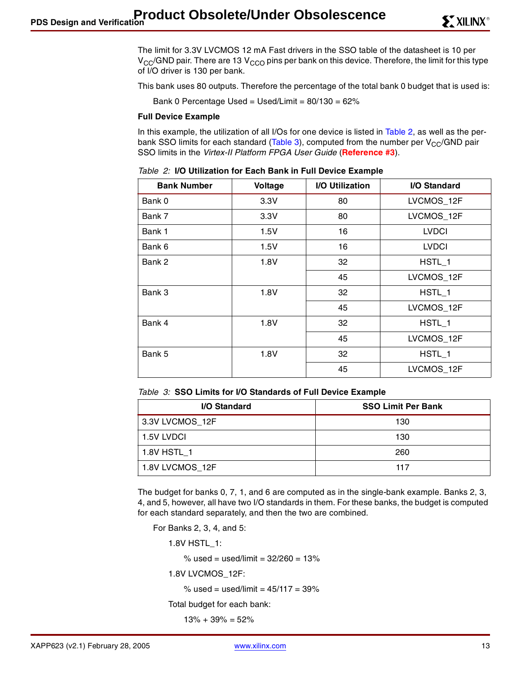The limit for 3.3V LVCMOS 12 mA Fast drivers in the SSO table of the datasheet is 10 per  $V_{CC}/GND$  pair. There are 13  $V_{CCO}$  pins per bank on this device. Therefore, the limit for this type of I/O driver is 130 per bank.

This bank uses 80 outputs. Therefore the percentage of the total bank 0 budget that is used is:

Bank 0 Percentage Used = Used/Limit =  $80/130 = 62\%$ 

#### **Full Device Example**

In this example, the utilization of all I/Os for one device is listed in [Table 2](#page-12-1), as well as the per-bank SSO limits for each standard [\(Table 3\)](#page-12-0), computed from the number per  $V_{CC}/GND$  pair SSO limits in the Virtex-II Platform FPGA User Guide (**[Reference #3](#page-22-2)**).

| <b>Bank Number</b> | Voltage | I/O Utilization | I/O Standard |
|--------------------|---------|-----------------|--------------|
| Bank 0             | 3.3V    | 80              | LVCMOS_12F   |
| Bank 7             | 3.3V    | 80              | LVCMOS_12F   |
| Bank 1             | 1.5V    | 16              | <b>LVDCI</b> |
| Bank 6             | 1.5V    | 16              | <b>LVDCI</b> |
| Bank 2             | 1.8V    | 32              | HSTL 1       |
|                    |         | 45              | LVCMOS_12F   |
| Bank 3             | 1.8V    | 32              | HSTL_1       |
|                    |         | 45              | LVCMOS_12F   |
| Bank 4             | 1.8V    | 32              | HSTL 1       |
|                    |         | 45              | LVCMOS_12F   |
| Bank 5             | 1.8V    | 32              | HSTL 1       |
|                    |         | 45              | LVCMOS_12F   |

<span id="page-12-1"></span>Table 2: **I/O Utilization for Each Bank in Full Device Example**

<span id="page-12-0"></span>

|  |  |  |  |  | Table 3: SSO Limits for I/O Standards of Full Device Example |  |  |  |
|--|--|--|--|--|--------------------------------------------------------------|--|--|--|
|--|--|--|--|--|--------------------------------------------------------------|--|--|--|

| I/O Standard    | <b>SSO Limit Per Bank</b> |
|-----------------|---------------------------|
| 3.3V LVCMOS 12F | 130                       |
| 1.5V LVDCI      | 130                       |
| 1.8V HSTL 1     | 260                       |
| 1.8V LVCMOS 12F | 117                       |

The budget for banks 0, 7, 1, and 6 are computed as in the single-bank example. Banks 2, 3, 4, and 5, however, all have two I/O standards in them. For these banks, the budget is computed for each standard separately, and then the two are combined.

For Banks 2, 3, 4, and 5:

1.8V HSTL\_1:

% used = used/limit =  $32/260 = 13%$ 

1.8V LVCMOS\_12F:

% used = used/limit =  $45/117 = 39%$ 

Total budget for each bank:

 $13% + 39% = 52%$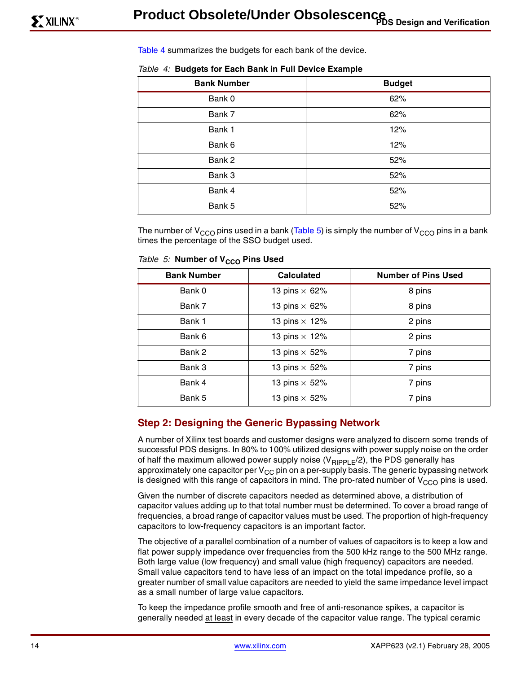[Table 4](#page-13-1) summarizes the budgets for each bank of the device.

<span id="page-13-1"></span>

|  |  |  |  |  |  |  |  |  | Table 4: Budgets for Each Bank in Full Device Example |
|--|--|--|--|--|--|--|--|--|-------------------------------------------------------|
|--|--|--|--|--|--|--|--|--|-------------------------------------------------------|

| <b>Bank Number</b> | <b>Budget</b> |
|--------------------|---------------|
| Bank 0             | 62%           |
| Bank 7             | 62%           |
| Bank 1             | 12%           |
| Bank 6             | 12%           |
| Bank 2             | 52%           |
| Bank 3             | 52%           |
| Bank 4             | 52%           |
| Bank 5             | 52%           |

The number of V<sub>CCO</sub> pins used in a bank [\(Table 5\)](#page-13-0) is simply the number of V<sub>CCO</sub> pins in a bank times the percentage of the SSO budget used.

| <b>Bank Number</b> | <b>Calculated</b>    | <b>Number of Pins Used</b> |
|--------------------|----------------------|----------------------------|
| Bank 0             | 13 pins $\times$ 62% | 8 pins                     |
| Bank 7             | 13 pins $\times$ 62% | 8 pins                     |
| Bank 1             | 13 pins $\times$ 12% | 2 pins                     |
| Bank 6             | 13 pins $\times$ 12% | 2 pins                     |
| Bank 2             | 13 pins $\times$ 52% | 7 pins                     |
| Bank 3             | 13 pins $\times$ 52% | 7 pins                     |
| Bank 4             | 13 pins $\times$ 52% | 7 pins                     |
| Bank 5             | 13 pins $\times$ 52% | 7 pins                     |

<span id="page-13-0"></span>Table 5: Number of V<sub>CCO</sub> Pins Used

## **Step 2: Designing the Generic Bypassing Network**

A number of Xilinx test boards and customer designs were analyzed to discern some trends of successful PDS designs. In 80% to 100% utilized designs with power supply noise on the order of half the maximum allowed power supply noise  $(V_{\text{RippE}}/2)$ , the PDS generally has approximately one capacitor per  $V_{CC}$  pin on a per-supply basis. The generic bypassing network is designed with this range of capacitors in mind. The pro-rated number of  $V_{CCO}$  pins is used.

Given the number of discrete capacitors needed as determined above, a distribution of capacitor values adding up to that total number must be determined. To cover a broad range of frequencies, a broad range of capacitor values must be used. The proportion of high-frequency capacitors to low-frequency capacitors is an important factor.

The objective of a parallel combination of a number of values of capacitors is to keep a low and flat power supply impedance over frequencies from the 500 kHz range to the 500 MHz range. Both large value (low frequency) and small value (high frequency) capacitors are needed. Small value capacitors tend to have less of an impact on the total impedance profile, so a greater number of small value capacitors are needed to yield the same impedance level impact as a small number of large value capacitors.

To keep the impedance profile smooth and free of anti-resonance spikes, a capacitor is generally needed at least in every decade of the capacitor value range. The typical ceramic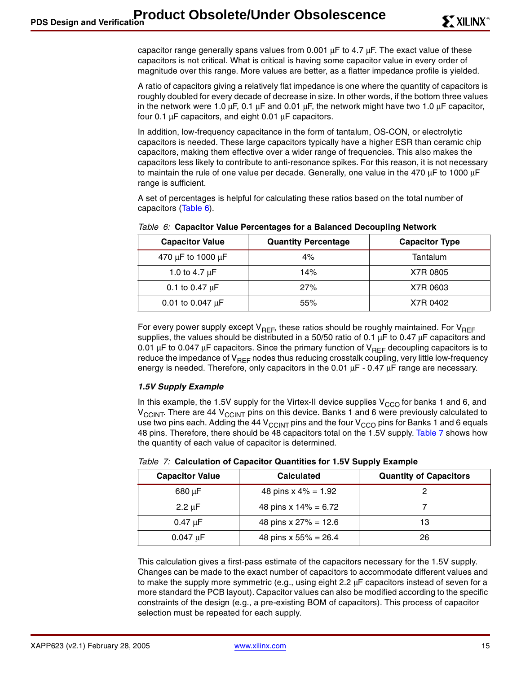capacitor range generally spans values from 0.001 µF to 4.7 µF. The exact value of these capacitors is not critical. What is critical is having some capacitor value in every order of magnitude over this range. More values are better, as a flatter impedance profile is yielded.

A ratio of capacitors giving a relatively flat impedance is one where the quantity of capacitors is roughly doubled for every decade of decrease in size. In other words, if the bottom three values in the network were 1.0  $\mu$ F, 0.1  $\mu$ F and 0.01  $\mu$ F, the network might have two 1.0  $\mu$ F capacitor, four 0.1 µF capacitors, and eight 0.01 µF capacitors.

In addition, low-frequency capacitance in the form of tantalum, OS-CON, or electrolytic capacitors is needed. These large capacitors typically have a higher ESR than ceramic chip capacitors, making them effective over a wider range of frequencies. This also makes the capacitors less likely to contribute to anti-resonance spikes. For this reason, it is not necessary to maintain the rule of one value per decade. Generally, one value in the 470  $\mu$ F to 1000  $\mu$ F range is sufficient.

A set of percentages is helpful for calculating these ratios based on the total number of capacitors ([Table 6\)](#page-14-1).

| <b>Capacitor Value</b> | <b>Quantity Percentage</b> | <b>Capacitor Type</b> |
|------------------------|----------------------------|-----------------------|
| 470 μF to 1000 μF      | 4%                         | Tantalum              |
| 1.0 to 4.7 $\mu$ F     | 14%                        | X7R 0805              |
| 0.1 to 0.47 $\mu$ F    | 27%                        | X7R 0603              |
| 0.01 to 0.047 $\mu$ F  | 55%                        | X7R 0402              |

<span id="page-14-1"></span>Table 6: **Capacitor Value Percentages for a Balanced Decoupling Network**

For every power supply except  $V_{REF}$ , these ratios should be roughly maintained. For  $V_{REF}$ supplies, the values should be distributed in a 50/50 ratio of 0.1  $\mu$ F to 0.47  $\mu$ F capacitors and 0.01  $\mu$ F to 0.047  $\mu$ F capacitors. Since the primary function of V<sub>REF</sub> decoupling capacitors is to reduce the impedance of V<sub>REF</sub> nodes thus reducing crosstalk coupling, very little low-frequency energy is needed. Therefore, only capacitors in the 0.01  $\mu$ F - 0.47  $\mu$ F range are necessary.

### **1.5V Supply Example**

In this example, the 1.5V supply for the Virtex-II device supplies  $V_{CCO}$  for banks 1 and 6, and V<sub>CCINT</sub>. There are 44 V<sub>CCINT</sub> pins on this device. Banks 1 and 6 were previously calculated to use two pins each. Adding the 44 V<sub>CCINT</sub> pins and the four V<sub>CCO</sub> pins for Banks 1 and 6 equals 48 pins. Therefore, there should be 48 capacitors total on the 1.5V supply. [Table 7](#page-14-0) shows how the quantity of each value of capacitor is determined.

| <b>Capacitor Value</b> | <b>Calculated</b>       | <b>Quantity of Capacitors</b> |
|------------------------|-------------------------|-------------------------------|
| 680 µF                 | 48 pins $x 4\% = 1.92$  |                               |
| $2.2 \mu F$            | 48 pins x $14\% = 6.72$ |                               |
| 0.47 uF                | 48 pins x $27\% = 12.6$ | 13                            |
| $0.047 \text{ uF}$     | 48 pins x $55\% = 26.4$ | 26                            |

<span id="page-14-0"></span>Table 7: **Calculation of Capacitor Quantities for 1.5V Supply Example**

This calculation gives a first-pass estimate of the capacitors necessary for the 1.5V supply. Changes can be made to the exact number of capacitors to accommodate different values and to make the supply more symmetric (e.g., using eight 2.2 µF capacitors instead of seven for a more standard the PCB layout). Capacitor values can also be modified according to the specific constraints of the design (e.g., a pre-existing BOM of capacitors). This process of capacitor selection must be repeated for each supply.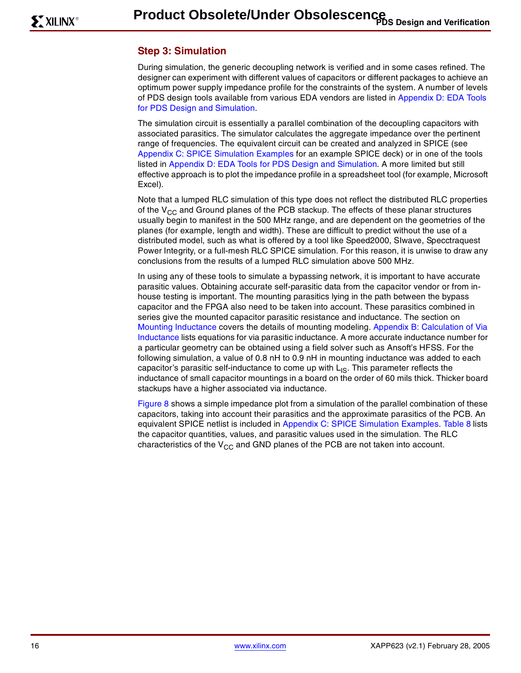## **Step 3: Simulation**

During simulation, the generic decoupling network is verified and in some cases refined. The designer can experiment with different values of capacitors or different packages to achieve an optimum power supply impedance profile for the constraints of the system. A number of levels of PDS design tools available from various EDA vendors are listed in [Appendix D: EDA Tools](#page-26-0)  [for PDS Design and Simulation.](#page-26-0)

The simulation circuit is essentially a parallel combination of the decoupling capacitors with associated parasitics. The simulator calculates the aggregate impedance over the pertinent range of frequencies. The equivalent circuit can be created and analyzed in SPICE (see [Appendix C: SPICE Simulation Examples](#page-24-0) for an example SPICE deck) or in one of the tools listed in [Appendix D: EDA Tools for PDS Design and Simulation](#page-26-0). A more limited but still effective approach is to plot the impedance profile in a spreadsheet tool (for example, Microsoft Excel).

Note that a lumped RLC simulation of this type does not reflect the distributed RLC properties of the  $V_{CC}$  and Ground planes of the PCB stackup. The effects of these planar structures usually begin to manifest in the 500 MHz range, and are dependent on the geometries of the planes (for example, length and width). These are difficult to predict without the use of a distributed model, such as what is offered by a tool like Speed2000, SIwave, Specctraquest Power Integrity, or a full-mesh RLC SPICE simulation. For this reason, it is unwise to draw any conclusions from the results of a lumped RLC simulation above 500 MHz.

In using any of these tools to simulate a bypassing network, it is important to have accurate parasitic values. Obtaining accurate self-parasitic data from the capacitor vendor or from inhouse testing is important. The mounting parasitics lying in the path between the bypass capacitor and the FPGA also need to be taken into account. These parasitics combined in series give the mounted capacitor parasitic resistance and inductance. The section on [Mounting Inductance](#page-4-1) covers the details of mounting modeling. [Appendix B: Calculation of Via](#page-23-0)  [Inductance](#page-23-0) lists equations for via parasitic inductance. A more accurate inductance number for a particular geometry can be obtained using a field solver such as Ansoft's HFSS. For the following simulation, a value of 0.8 nH to 0.9 nH in mounting inductance was added to each capacitor's parasitic self-inductance to come up with  $L_{IS}$ . This parameter reflects the inductance of small capacitor mountings in a board on the order of 60 mils thick. Thicker board stackups have a higher associated via inductance.

[Figure 8](#page-16-0) shows a simple impedance plot from a simulation of the parallel combination of these capacitors, taking into account their parasitics and the approximate parasitics of the PCB. An equivalent SPICE netlist is included in [Appendix C: SPICE Simulation Examples.](#page-24-0) [Table 8](#page-16-1) lists the capacitor quantities, values, and parasitic values used in the simulation. The RLC characteristics of the  $V_{CC}$  and GND planes of the PCB are not taken into account.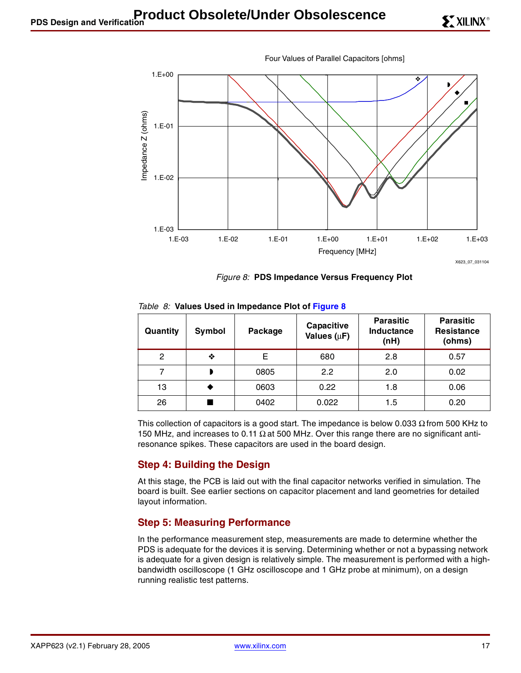



Figure 8: **PDS Impedance Versus Frequency Plot**

| Quantity | Symbol | Package | Capacitive<br>Values $(\mu F)$ | <b>Parasitic</b><br>Inductance<br>(nH) | <b>Parasitic</b><br><b>Resistance</b><br>(ohms) |
|----------|--------|---------|--------------------------------|----------------------------------------|-------------------------------------------------|
| 2        | ❖      | Е       | 680                            | 2.8                                    | 0.57                                            |
|          |        | 0805    | 2.2                            | 2.0                                    | 0.02                                            |
| 13       |        | 0603    | 0.22                           | 1.8                                    | 0.06                                            |
| 26       |        | 0402    | 0.022                          | 1.5                                    | 0.20                                            |

<span id="page-16-1"></span><span id="page-16-0"></span>Table 8: **Values Used in Impedance Plot of [Figure 8](#page-16-0)**

This collection of capacitors is a good start. The impedance is below 0.033  $\Omega$  from 500 KHz to 150 MHz, and increases to 0.11 Ω at 500 MHz. Over this range there are no significant antiresonance spikes. These capacitors are used in the board design.

## **Step 4: Building the Design**

At this stage, the PCB is laid out with the final capacitor networks verified in simulation. The board is built. See earlier sections on capacitor placement and land geometries for detailed layout information.

## **Step 5: Measuring Performance**

In the performance measurement step, measurements are made to determine whether the PDS is adequate for the devices it is serving. Determining whether or not a bypassing network is adequate for a given design is relatively simple. The measurement is performed with a highbandwidth oscilloscope (1 GHz oscilloscope and 1 GHz probe at minimum), on a design running realistic test patterns.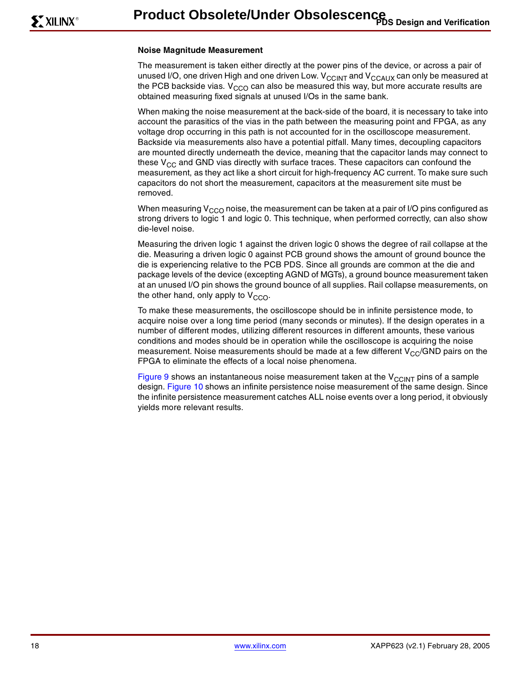#### **Noise Magnitude Measurement**

The measurement is taken either directly at the power pins of the device, or across a pair of unused I/O, one driven High and one driven Low.  $V_{CCINT}$  and  $V_{CCAUX}$  can only be measured at the PCB backside vias.  $V_{CCO}$  can also be measured this way, but more accurate results are obtained measuring fixed signals at unused I/Os in the same bank.

When making the noise measurement at the back-side of the board, it is necessary to take into account the parasitics of the vias in the path between the measuring point and FPGA, as any voltage drop occurring in this path is not accounted for in the oscilloscope measurement. Backside via measurements also have a potential pitfall. Many times, decoupling capacitors are mounted directly underneath the device, meaning that the capacitor lands may connect to these  $V_{CC}$  and GND vias directly with surface traces. These capacitors can confound the measurement, as they act like a short circuit for high-frequency AC current. To make sure such capacitors do not short the measurement, capacitors at the measurement site must be removed.

When measuring  $V_{CCO}$  noise, the measurement can be taken at a pair of I/O pins configured as strong drivers to logic 1 and logic 0. This technique, when performed correctly, can also show die-level noise.

Measuring the driven logic 1 against the driven logic 0 shows the degree of rail collapse at the die. Measuring a driven logic 0 against PCB ground shows the amount of ground bounce the die is experiencing relative to the PCB PDS. Since all grounds are common at the die and package levels of the device (excepting AGND of MGTs), a ground bounce measurement taken at an unused I/O pin shows the ground bounce of all supplies. Rail collapse measurements, on the other hand, only apply to  $V_{CCO}$ .

To make these measurements, the oscilloscope should be in infinite persistence mode, to acquire noise over a long time period (many seconds or minutes). If the design operates in a number of different modes, utilizing different resources in different amounts, these various conditions and modes should be in operation while the oscilloscope is acquiring the noise measurement. Noise measurements should be made at a few different  $V_{CC}/GND$  pairs on the FPGA to eliminate the effects of a local noise phenomena.

[Figure 9](#page-18-0) shows an instantaneous noise measurement taken at the  $V_{CCLINT}$  pins of a sample design. [Figure 10](#page-18-1) shows an infinite persistence noise measurement of the same design. Since the infinite persistence measurement catches ALL noise events over a long period, it obviously yields more relevant results.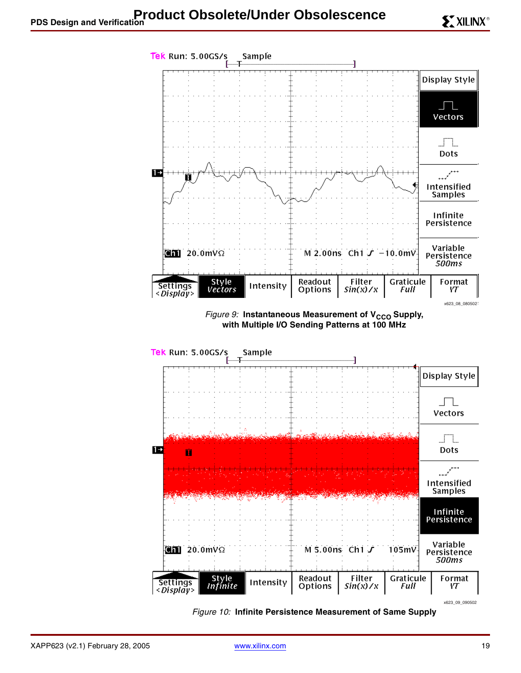<span id="page-18-0"></span>

<span id="page-18-1"></span>Figure 10: **Infinite Persistence Measurement of Same Supply**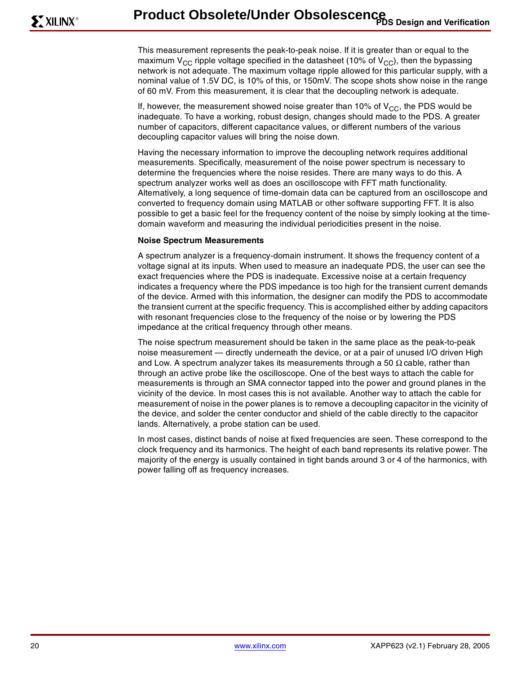This measurement represents the peak-to-peak noise. If it is greater than or equal to the maximum V<sub>CC</sub> ripple voltage specified in the datasheet (10% of V<sub>CC</sub>), then the bypassing network is not adequate. The maximum voltage ripple allowed for this particular supply, with a nominal value of 1.5V DC, is 10% of this, or 150mV. The scope shots show noise in the range of 60 mV. From this measurement, it is clear that the decoupling network is adequate.

If, however, the measurement showed noise greater than 10% of  $V_{CC}$ , the PDS would be inadequate. To have a working, robust design, changes should made to the PDS. A greater number of capacitors, different capacitance values, or different numbers of the various decoupling capacitor values will bring the noise down.

Having the necessary information to improve the decoupling network requires additional measurements. Specifically, measurement of the noise power spectrum is necessary to determine the frequencies where the noise resides. There are many ways to do this. A spectrum analyzer works well as does an oscilloscope with FFT math functionality. Alternatively, a long sequence of time-domain data can be captured from an oscilloscope and converted to frequency domain using MATLAB or other software supporting FFT. It is also possible to get a basic feel for the frequency content of the noise by simply looking at the timedomain waveform and measuring the individual periodicities present in the noise.

#### **Noise Spectrum Measurements**

A spectrum analyzer is a frequency-domain instrument. It shows the frequency content of a voltage signal at its inputs. When used to measure an inadequate PDS, the user can see the exact frequencies where the PDS is inadequate. Excessive noise at a certain frequency indicates a frequency where the PDS impedance is too high for the transient current demands of the device. Armed with this information, the designer can modify the PDS to accommodate the transient current at the specific frequency. This is accomplished either by adding capacitors with resonant frequencies close to the frequency of the noise or by lowering the PDS impedance at the critical frequency through other means.

The noise spectrum measurement should be taken in the same place as the peak-to-peak noise measurement — directly underneath the device, or at a pair of unused I/O driven High and Low. A spectrum analyzer takes its measurements through a 50  $\Omega$  cable, rather than through an active probe like the oscilloscope. One of the best ways to attach the cable for measurements is through an SMA connector tapped into the power and ground planes in the vicinity of the device. In most cases this is not available. Another way to attach the cable for measurement of noise in the power planes is to remove a decoupling capacitor in the vicinity of the device, and solder the center conductor and shield of the cable directly to the capacitor lands. Alternatively, a probe station can be used.

In most cases, distinct bands of noise at fixed frequencies are seen. These correspond to the clock frequency and its harmonics. The height of each band represents its relative power. The majority of the energy is usually contained in tight bands around 3 or 4 of the harmonics, with power falling off as frequency increases.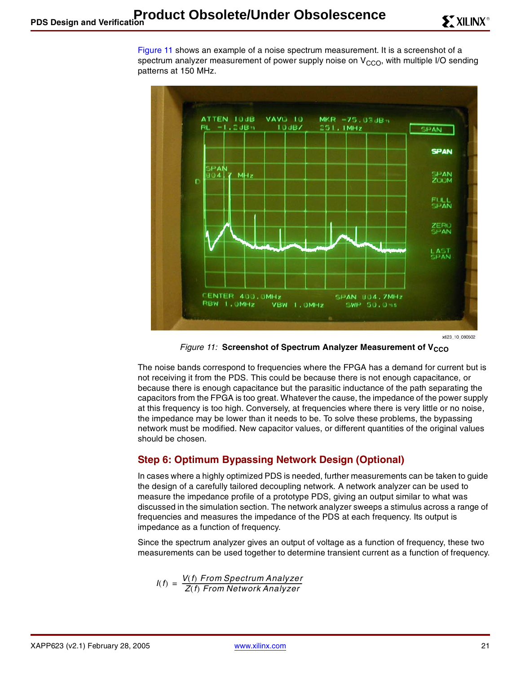[Figure 11](#page-20-0) shows an example of a noise spectrum measurement. It is a screenshot of a spectrum analyzer measurement of power supply noise on  $V_{CCO}$ , with multiple I/O sending patterns at 150 MHz.



x623\_10\_080502

Figure 11: Screenshot of Spectrum Analyzer Measurement of V<sub>CCO</sub>

<span id="page-20-0"></span>The noise bands correspond to frequencies where the FPGA has a demand for current but is not receiving it from the PDS. This could be because there is not enough capacitance, or because there is enough capacitance but the parasitic inductance of the path separating the capacitors from the FPGA is too great. Whatever the cause, the impedance of the power supply at this frequency is too high. Conversely, at frequencies where there is very little or no noise, the impedance may be lower than it needs to be. To solve these problems, the bypassing network must be modified. New capacitor values, or different quantities of the original values should be chosen.

## **Step 6: Optimum Bypassing Network Design (Optional)**

In cases where a highly optimized PDS is needed, further measurements can be taken to guide the design of a carefully tailored decoupling network. A network analyzer can be used to measure the impedance profile of a prototype PDS, giving an output similar to what was discussed in the simulation section. The network analyzer sweeps a stimulus across a range of frequencies and measures the impedance of the PDS at each frequency. Its output is impedance as a function of frequency.

Since the spectrum analyzer gives an output of voltage as a function of frequency, these two measurements can be used together to determine transient current as a function of frequency.

$$
I(f) = \frac{V(f) \text{ From Spectrum Analyzer}}{Z(f) \text{ From Network Analyzer}}
$$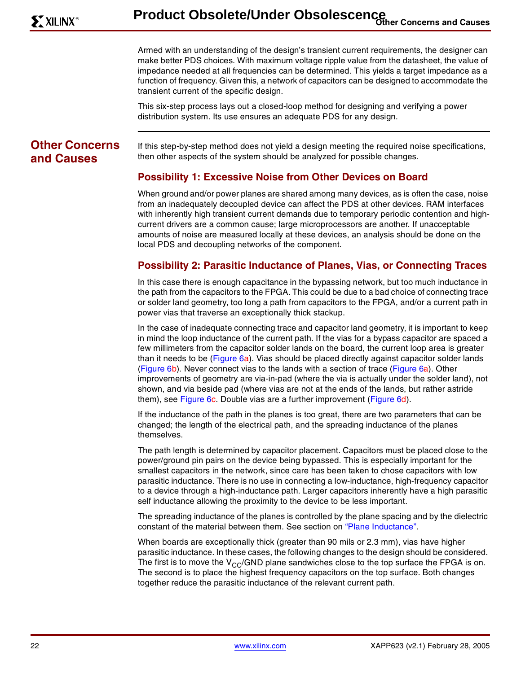Armed with an understanding of the design's transient current requirements, the designer can make better PDS choices. With maximum voltage ripple value from the datasheet, the value of impedance needed at all frequencies can be determined. This yields a target impedance as a function of frequency. Given this, a network of capacitors can be designed to accommodate the transient current of the specific design.

This six-step process lays out a closed-loop method for designing and verifying a power distribution system. Its use ensures an adequate PDS for any design.

# **Other Concerns and Causes**

If this step-by-step method does not yield a design meeting the required noise specifications, then other aspects of the system should be analyzed for possible changes.

# **Possibility 1: Excessive Noise from Other Devices on Board**

When ground and/or power planes are shared among many devices, as is often the case, noise from an inadequately decoupled device can affect the PDS at other devices. RAM interfaces with inherently high transient current demands due to temporary periodic contention and highcurrent drivers are a common cause; large microprocessors are another. If unacceptable amounts of noise are measured locally at these devices, an analysis should be done on the local PDS and decoupling networks of the component.

## **Possibility 2: Parasitic Inductance of Planes, Vias, or Connecting Traces**

In this case there is enough capacitance in the bypassing network, but too much inductance in the path from the capacitors to the FPGA. This could be due to a bad choice of connecting trace or solder land geometry, too long a path from capacitors to the FPGA, and/or a current path in power vias that traverse an exceptionally thick stackup.

In the case of inadequate connecting trace and capacitor land geometry, it is important to keep in mind the loop inductance of the current path. If the vias for a bypass capacitor are spaced a few millimeters from the capacitor solder lands on the board, the current loop area is greater than it needs to be [\(Figure 6](#page-5-0)a). Vias should be placed directly against capacitor solder lands [\(Figure 6](#page-5-0)b). Never connect vias to the lands with a section of trace ([Figure 6](#page-5-0)a). Other improvements of geometry are via-in-pad (where the via is actually under the solder land), not shown, and via beside pad (where vias are not at the ends of the lands, but rather astride them), see [Figure 6c](#page-5-0). Double vias are a further improvement [\(Figure 6d](#page-5-0)).

If the inductance of the path in the planes is too great, there are two parameters that can be changed; the length of the electrical path, and the spreading inductance of the planes themselves.

The path length is determined by capacitor placement. Capacitors must be placed close to the power/ground pin pairs on the device being bypassed. This is especially important for the smallest capacitors in the network, since care has been taken to chose capacitors with low parasitic inductance. There is no use in connecting a low-inductance, high-frequency capacitor to a device through a high-inductance path. Larger capacitors inherently have a high parasitic self inductance allowing the proximity to the device to be less important.

The spreading inductance of the planes is controlled by the plane spacing and by the dielectric constant of the material between them. See section on ["Plane Inductance".](#page-5-1)

When boards are exceptionally thick (greater than 90 mils or 2.3 mm), vias have higher parasitic inductance. In these cases, the following changes to the design should be considered. The first is to move the  $V_{CC}/GND$  plane sandwiches close to the top surface the FPGA is on. The second is to place the highest frequency capacitors on the top surface. Both changes together reduce the parasitic inductance of the relevant current path.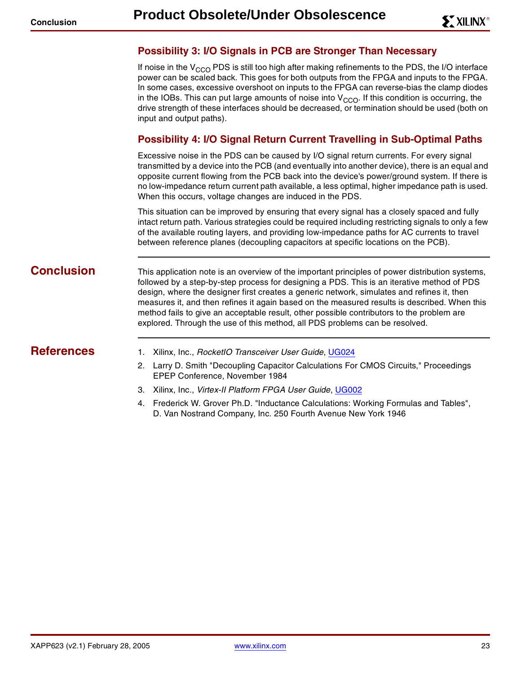## **Possibility 3: I/O Signals in PCB are Stronger Than Necessary**

If noise in the  $V_{CCO}$  PDS is still too high after making refinements to the PDS, the I/O interface power can be scaled back. This goes for both outputs from the FPGA and inputs to the FPGA. In some cases, excessive overshoot on inputs to the FPGA can reverse-bias the clamp diodes in the IOBs. This can put large amounts of noise into  $V_{CCO}$ . If this condition is occurring, the drive strength of these interfaces should be decreased, or termination should be used (both on input and output paths).

## **Possibility 4: I/O Signal Return Current Travelling in Sub-Optimal Paths**

Excessive noise in the PDS can be caused by I/O signal return currents. For every signal transmitted by a device into the PCB (and eventually into another device), there is an equal and opposite current flowing from the PCB back into the device's power/ground system. If there is no low-impedance return current path available, a less optimal, higher impedance path is used. When this occurs, voltage changes are induced in the PDS.

This situation can be improved by ensuring that every signal has a closely spaced and fully intact return path. Various strategies could be required including restricting signals to only a few of the available routing layers, and providing low-impedance paths for AC currents to travel between reference planes (decoupling capacitors at specific locations on the PCB).

**Conclusion** This application note is an overview of the important principles of power distribution systems, followed by a step-by-step process for designing a PDS. This is an iterative method of PDS design, where the designer first creates a generic network, simulates and refines it, then measures it, and then refines it again based on the measured results is described. When this method fails to give an acceptable result, other possible contributors to the problem are explored. Through the use of this method, all PDS problems can be resolved.

- <span id="page-22-3"></span><span id="page-22-2"></span><span id="page-22-1"></span><span id="page-22-0"></span>**References** 1. Xilinx, Inc., RocketIO Transceiver User Guide, [UG024](http://www.xilinx.com/bvdocs/publications/ug024.pdf)
	- 2. Larry D. Smith "Decoupling Capacitor Calculations For CMOS Circuits," Proceedings EPEP Conference, November 1984
	- 3. Xilinx, Inc., Virtex-II Platform FPGA User Guide, [UG002](http://www.xilinx.com/bvdocs/userguides/ug002.pdf)
	- 4. Frederick W. Grover Ph.D. "Inductance Calculations: Working Formulas and Tables", D. Van Nostrand Company, Inc. 250 Fourth Avenue New York 1946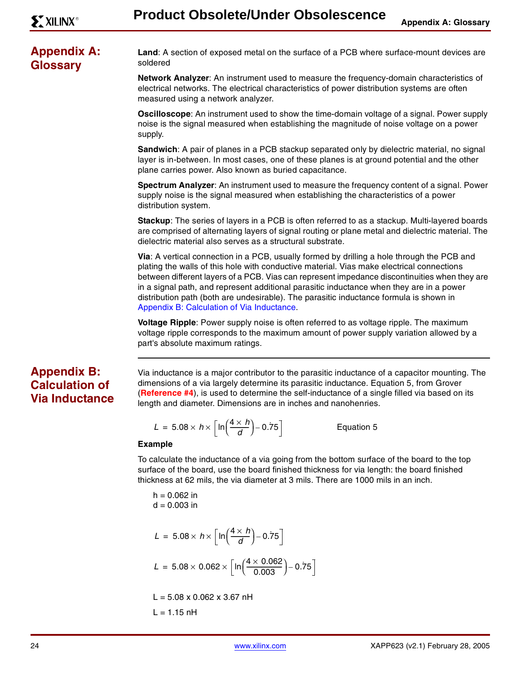# **Appendix A: Glossary**

**Land**: A section of exposed metal on the surface of a PCB where surface-mount devices are soldered

**Network Analyzer**: An instrument used to measure the frequency-domain characteristics of electrical networks. The electrical characteristics of power distribution systems are often measured using a network analyzer.

**Oscilloscope**: An instrument used to show the time-domain voltage of a signal. Power supply noise is the signal measured when establishing the magnitude of noise voltage on a power supply.

**Sandwich**: A pair of planes in a PCB stackup separated only by dielectric material, no signal layer is in-between. In most cases, one of these planes is at ground potential and the other plane carries power. Also known as buried capacitance.

**Spectrum Analyzer**: An instrument used to measure the frequency content of a signal. Power supply noise is the signal measured when establishing the characteristics of a power distribution system.

**Stackup**: The series of layers in a PCB is often referred to as a stackup. Multi-layered boards are comprised of alternating layers of signal routing or plane metal and dielectric material. The dielectric material also serves as a structural substrate.

**Via**: A vertical connection in a PCB, usually formed by drilling a hole through the PCB and plating the walls of this hole with conductive material. Vias make electrical connections between different layers of a PCB. Vias can represent impedance discontinuities when they are in a signal path, and represent additional parasitic inductance when they are in a power distribution path (both are undesirable). The parasitic inductance formula is shown in [Appendix B: Calculation of Via Inductance.](#page-23-0)

**Voltage Ripple**: Power supply noise is often referred to as voltage ripple. The maximum voltage ripple corresponds to the maximum amount of power supply variation allowed by a part's absolute maximum ratings.

# <span id="page-23-0"></span>**Appendix B: Calculation of Via Inductance**

Via inductance is a major contributor to the parasitic inductance of a capacitor mounting. The dimensions of a via largely determine its parasitic inductance. Equation 5, from Grover (**[Reference #4](#page-22-3)**), is used to determine the self-inductance of a single filled via based on its length and diameter. Dimensions are in inches and nanohenries.

$$
L = 5.08 \times h \times \left[ \ln \left( \frac{4 \times h}{d} \right) - 0.75 \right]
$$

Equation 5

#### **Example**

To calculate the inductance of a via going from the bottom surface of the board to the top surface of the board, use the board finished thickness for via length: the board finished thickness at 62 mils, the via diameter at 3 mils. There are 1000 mils in an inch.

 $h = 0.062$  in  $d = 0.003$  in

$$
L = 5.08 \times h \times \left[ \ln \left( \frac{4 \times h}{d} \right) - 0.75 \right]
$$

 $L = 5.08 \times 0.062 \times \left[ \ln \left( \frac{4 \times 0.062}{0.003} \right) - 0.75 \right]$ 

 $L = 5.08 \times 0.062 \times 3.67$  nH  $L = 1.15$  nH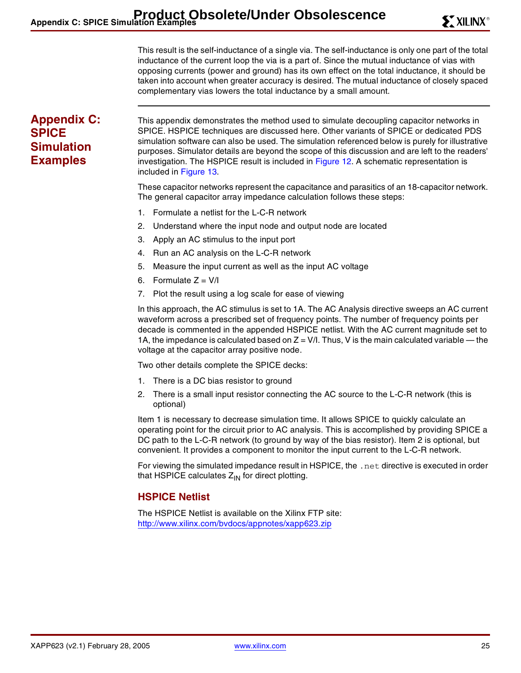This result is the self-inductance of a single via. The self-inductance is only one part of the total inductance of the current loop the via is a part of. Since the mutual inductance of vias with opposing currents (power and ground) has its own effect on the total inductance, it should be taken into account when greater accuracy is desired. The mutual inductance of closely spaced complementary vias lowers the total inductance by a small amount.

# <span id="page-24-0"></span>**Appendix C: SPICE Simulation Examples**

This appendix demonstrates the method used to simulate decoupling capacitor networks in SPICE. HSPICE techniques are discussed here. Other variants of SPICE or dedicated PDS simulation software can also be used. The simulation referenced below is purely for illustrative purposes. Simulator details are beyond the scope of this discussion and are left to the readers' investigation. The HSPICE result is included in [Figure 12](#page-25-0). A schematic representation is included in [Figure 13.](#page-25-1)

These capacitor networks represent the capacitance and parasitics of an 18-capacitor network. The general capacitor array impedance calculation follows these steps:

- 1. Formulate a netlist for the L-C-R network
- 2. Understand where the input node and output node are located
- 3. Apply an AC stimulus to the input port
- 4. Run an AC analysis on the L-C-R network
- 5. Measure the input current as well as the input AC voltage
- 6. Formulate  $Z = V/I$
- 7. Plot the result using a log scale for ease of viewing

In this approach, the AC stimulus is set to 1A. The AC Analysis directive sweeps an AC current waveform across a prescribed set of frequency points. The number of frequency points per decade is commented in the appended HSPICE netlist. With the AC current magnitude set to 1A, the impedance is calculated based on  $Z = V/I$ . Thus, V is the main calculated variable — the voltage at the capacitor array positive node.

Two other details complete the SPICE decks:

- 1. There is a DC bias resistor to ground
- 2. There is a small input resistor connecting the AC source to the L-C-R network (this is optional)

Item 1 is necessary to decrease simulation time. It allows SPICE to quickly calculate an operating point for the circuit prior to AC analysis. This is accomplished by providing SPICE a DC path to the L-C-R network (to ground by way of the bias resistor). Item 2 is optional, but convenient. It provides a component to monitor the input current to the L-C-R network.

For viewing the simulated impedance result in HSPICE, the . net directive is executed in order that HSPICE calculates  $Z_{IN}$  for direct plotting.

# **HSPICE Netlist**

The HSPICE Netlist is available on the Xilinx FTP site: <http://www.xilinx.com/bvdocs/appnotes/xapp623.zip>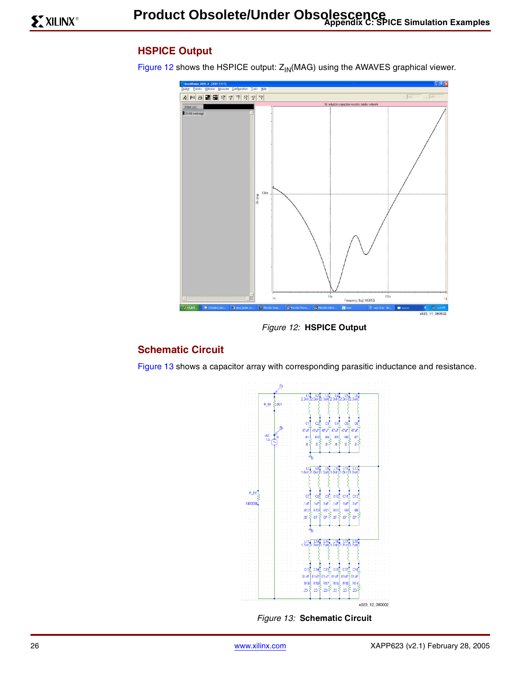# **HSPICE Output**

[Figure 12](#page-25-0) shows the HSPICE output:  $Z_{\text{IN}}$ (MAG) using the AWAVES graphical viewer.



Figure 12: **HSPICE Output**

# <span id="page-25-0"></span>**Schematic Circuit**

[Figure 13](#page-25-1) shows a capacitor array with corresponding parasitic inductance and resistance.





<span id="page-25-1"></span>